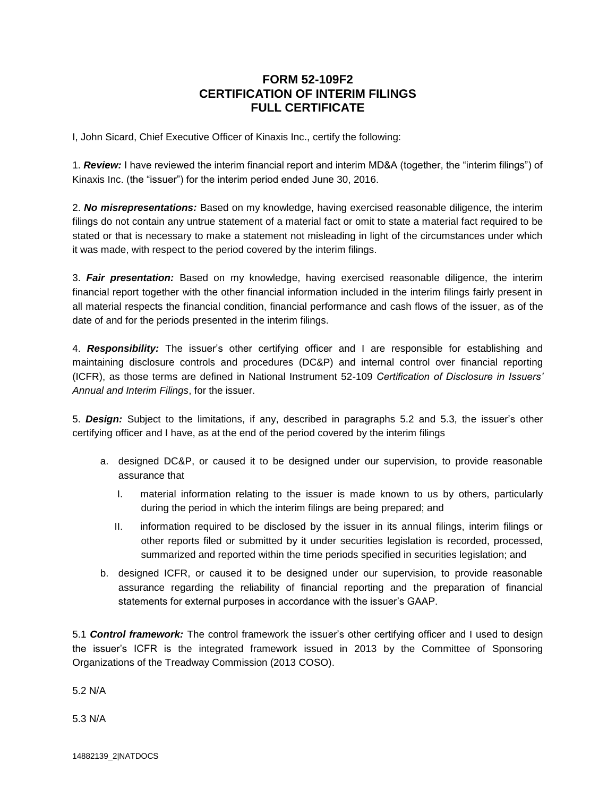## **FORM 52-109F2 CERTIFICATION OF INTERIM FILINGS FULL CERTIFICATE**

I, John Sicard, Chief Executive Officer of Kinaxis Inc., certify the following:

1. *Review:* I have reviewed the interim financial report and interim MD&A (together, the "interim filings") of Kinaxis Inc. (the "issuer") for the interim period ended June 30, 2016.

2. *No misrepresentations:* Based on my knowledge, having exercised reasonable diligence, the interim filings do not contain any untrue statement of a material fact or omit to state a material fact required to be stated or that is necessary to make a statement not misleading in light of the circumstances under which it was made, with respect to the period covered by the interim filings.

3. *Fair presentation:* Based on my knowledge, having exercised reasonable diligence, the interim financial report together with the other financial information included in the interim filings fairly present in all material respects the financial condition, financial performance and cash flows of the issuer, as of the date of and for the periods presented in the interim filings.

4. *Responsibility:* The issuer's other certifying officer and I are responsible for establishing and maintaining disclosure controls and procedures (DC&P) and internal control over financial reporting (ICFR), as those terms are defined in National Instrument 52-109 *Certification of Disclosure in Issuers' Annual and Interim Filings*, for the issuer.

5. *Design:* Subject to the limitations, if any, described in paragraphs 5.2 and 5.3, the issuer's other certifying officer and I have, as at the end of the period covered by the interim filings

- a. designed DC&P, or caused it to be designed under our supervision, to provide reasonable assurance that
	- I. material information relating to the issuer is made known to us by others, particularly during the period in which the interim filings are being prepared; and
	- II. information required to be disclosed by the issuer in its annual filings, interim filings or other reports filed or submitted by it under securities legislation is recorded, processed, summarized and reported within the time periods specified in securities legislation; and
- b. designed ICFR, or caused it to be designed under our supervision, to provide reasonable assurance regarding the reliability of financial reporting and the preparation of financial statements for external purposes in accordance with the issuer's GAAP.

5.1 *Control framework:* The control framework the issuer's other certifying officer and I used to design the issuer's ICFR is the integrated framework issued in 2013 by the Committee of Sponsoring Organizations of the Treadway Commission (2013 COSO).

5.2 N/A

5.3 N/A